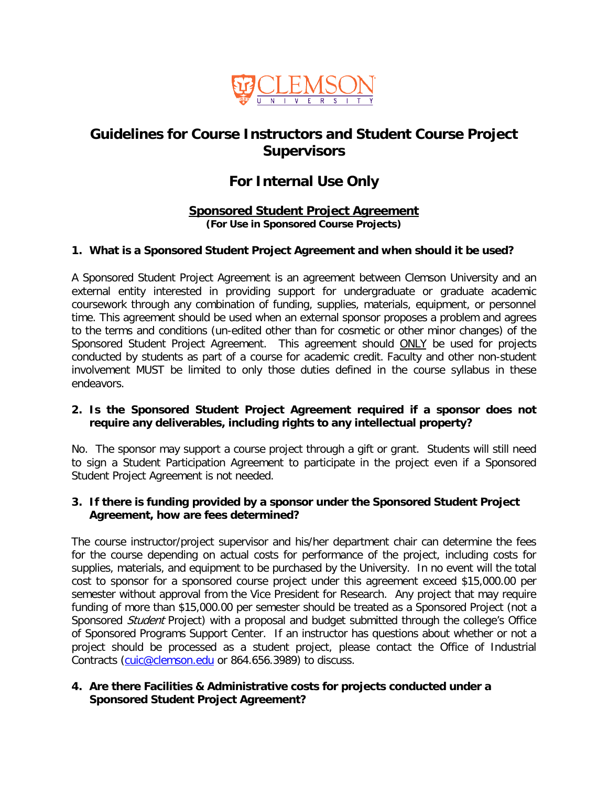

## **Guidelines for Course Instructors and Student Course Project Supervisors**

# **For Internal Use Only**

## **Sponsored Student Project Agreement**

**(For Use in Sponsored Course Projects)**

### **1. What is a Sponsored Student Project Agreement and when should it be used?**

A Sponsored Student Project Agreement is an agreement between Clemson University and an external entity interested in providing support for undergraduate or graduate academic coursework through any combination of funding, supplies, materials, equipment, or personnel time. This agreement should be used when an external sponsor proposes a problem and agrees to the terms and conditions (un-edited other than for cosmetic or other minor changes) of the Sponsored Student Project Agreement. This agreement should ONLY be used for projects conducted by students as part of a course for academic credit. Faculty and other non-student involvement MUST be limited to only those duties defined in the course syllabus in these endeavors.

#### **2. Is the Sponsored Student Project Agreement required if a sponsor does not require any deliverables, including rights to any intellectual property?**

No. The sponsor may support a course project through a gift or grant. Students will still need to sign a Student Participation Agreement to participate in the project even if a Sponsored Student Project Agreement is not needed.

#### **3. If there is funding provided by a sponsor under the Sponsored Student Project Agreement, how are fees determined?**

The course instructor/project supervisor and his/her department chair can determine the fees for the course depending on actual costs for performance of the project, including costs for supplies, materials, and equipment to be purchased by the University. In no event will the total cost to sponsor for a sponsored course project under this agreement exceed \$15,000.00 per semester without approval from the Vice President for Research. Any project that may require funding of more than \$15,000.00 per semester should be treated as a Sponsored Project (not a Sponsored *Student* Project) with a proposal and budget submitted through the college's Office of Sponsored Programs Support Center. If an instructor has questions about whether or not a project should be processed as a student project, please contact the Office of Industrial Contracts [\(cuic@clemson.edu](mailto:cuic@clemson.edu) or 864.656.3989) to discuss.

#### **4. Are there Facilities & Administrative costs for projects conducted under a Sponsored Student Project Agreement?**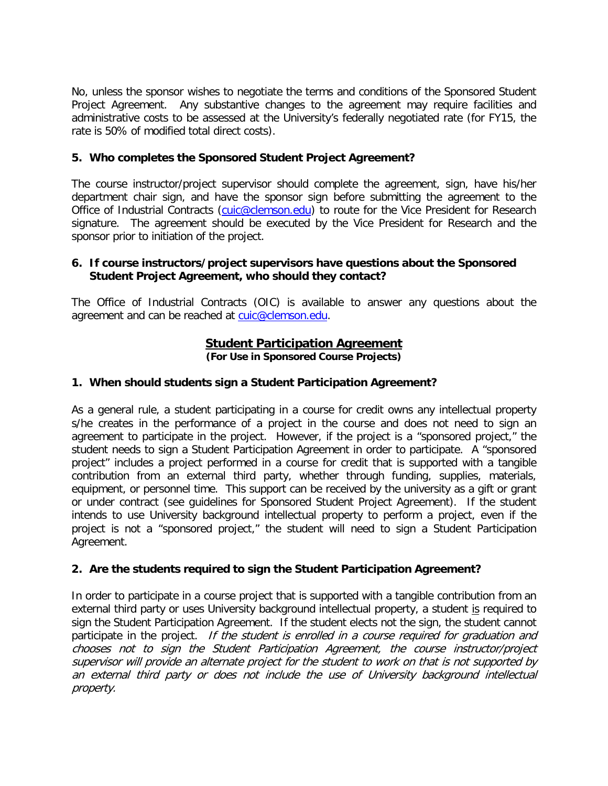No, unless the sponsor wishes to negotiate the terms and conditions of the Sponsored Student Project Agreement. Any substantive changes to the agreement may require facilities and administrative costs to be assessed at the University's federally negotiated rate (for FY15, the rate is 50% of modified total direct costs).

## **5. Who completes the Sponsored Student Project Agreement?**

The course instructor/project supervisor should complete the agreement, sign, have his/her department chair sign, and have the sponsor sign before submitting the agreement to the Office of Industrial Contracts [\(cuic@clemson.edu\)](mailto:cuic@clemson.edu) to route for the Vice President for Research signature. The agreement should be executed by the Vice President for Research and the sponsor prior to initiation of the project.

### **6. If course instructors/project supervisors have questions about the Sponsored Student Project Agreement, who should they contact?**

The Office of Industrial Contracts (OIC) is available to answer any questions about the agreement and can be reached at [cuic@clemson.edu.](mailto:cuic@clemson.edu)

## **Student Participation Agreement**

**(For Use in Sponsored Course Projects)**

## **1. When should students sign a Student Participation Agreement?**

As a general rule, a student participating in a course for credit owns any intellectual property s/he creates in the performance of a project in the course and does not need to sign an agreement to participate in the project. However, if the project is a "sponsored project," the student needs to sign a Student Participation Agreement in order to participate. A "sponsored project" includes a project performed in a course for credit that is supported with a tangible contribution from an external third party, whether through funding, supplies, materials, equipment, or personnel time. This support can be received by the university as a gift or grant or under contract (see guidelines for Sponsored Student Project Agreement). If the student intends to use University background intellectual property to perform a project, even if the project is not a "sponsored project," the student will need to sign a Student Participation Agreement.

## **2. Are the students required to sign the Student Participation Agreement?**

In order to participate in a course project that is supported with a tangible contribution from an external third party or uses University background intellectual property, a student is required to sign the Student Participation Agreement. If the student elects not the sign, the student cannot participate in the project. If the student is enrolled in a course required for graduation and chooses not to sign the Student Participation Agreement, the course instructor/project supervisor will provide an alternate project for the student to work on that is not supported by an external third party or does not include the use of University background intellectual property.